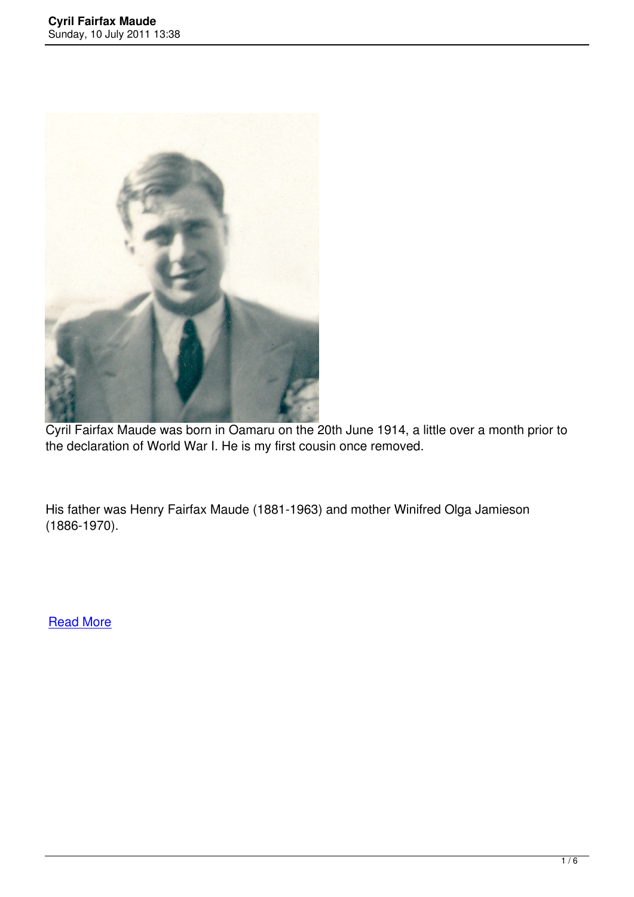

Cyril Fairfax Maude was born in Oamaru on the 20th June 1914, a little over a month prior to the declaration of World War I. He is my first cousin once removed.

His father was Henry Fairfax Maude (1881-1963) and mother Winifred Olga Jamieson (1886-1970).

**Read More**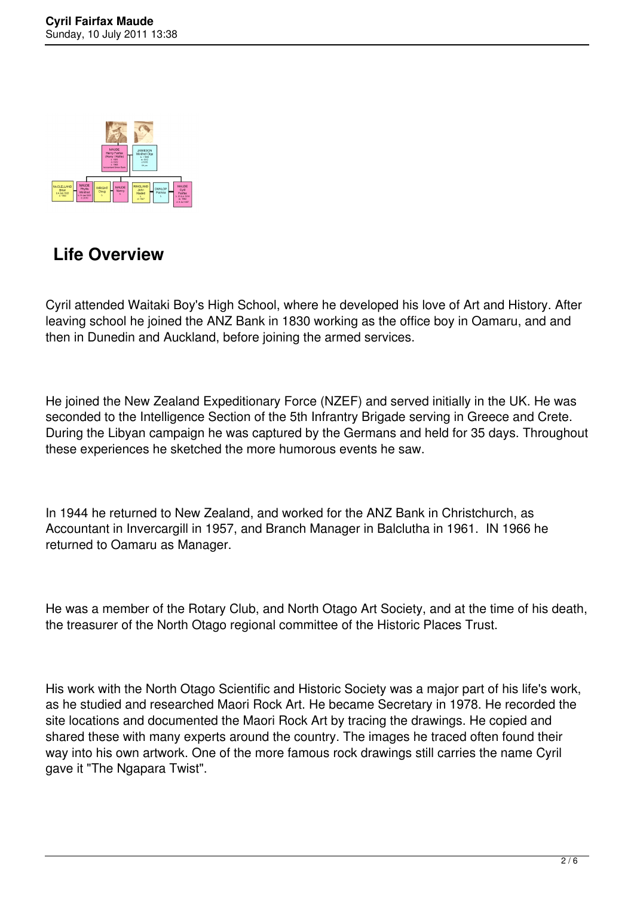

## **Life Overview**

Cyril attended Waitaki Boy's High School, where he developed his love of Art and History. After leaving school he joined the ANZ Bank in 1830 working as the office boy in Oamaru, and and then in Dunedin and Auckland, before joining the armed services.

He joined the New Zealand Expeditionary Force (NZEF) and served initially in the UK. He was seconded to the Intelligence Section of the 5th Infrantry Brigade serving in Greece and Crete. During the Libyan campaign he was captured by the Germans and held for 35 days. Throughout these experiences he sketched the more humorous events he saw.

In 1944 he returned to New Zealand, and worked for the ANZ Bank in Christchurch, as Accountant in Invercargill in 1957, and Branch Manager in Balclutha in 1961. IN 1966 he returned to Oamaru as Manager.

He was a member of the Rotary Club, and North Otago Art Society, and at the time of his death, the treasurer of the North Otago regional committee of the Historic Places Trust.

His work with the North Otago Scientific and Historic Society was a major part of his life's work, as he studied and researched Maori Rock Art. He became Secretary in 1978. He recorded the site locations and documented the Maori Rock Art by tracing the drawings. He copied and shared these with many experts around the country. The images he traced often found their way into his own artwork. One of the more famous rock drawings still carries the name Cyril gave it "The Ngapara Twist".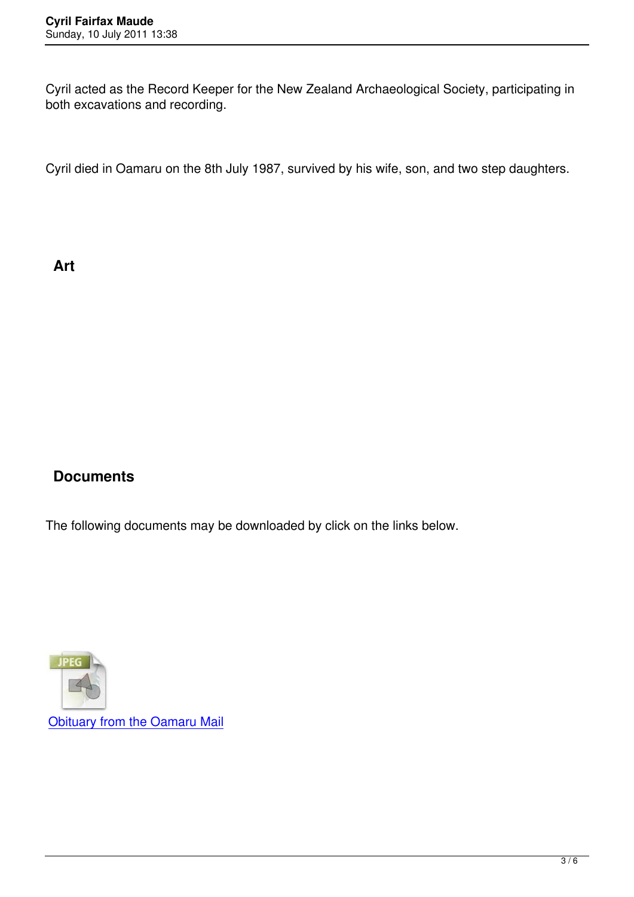Cyril acted as the Record Keeper for the New Zealand Archaeological Society, participating in both excavations and recording.

Cyril died in Oamaru on the 8th July 1987, survived by his wife, son, and two step daughters.

**Art**

## **Documents**

The following documents may be downloaded by click on the links below.

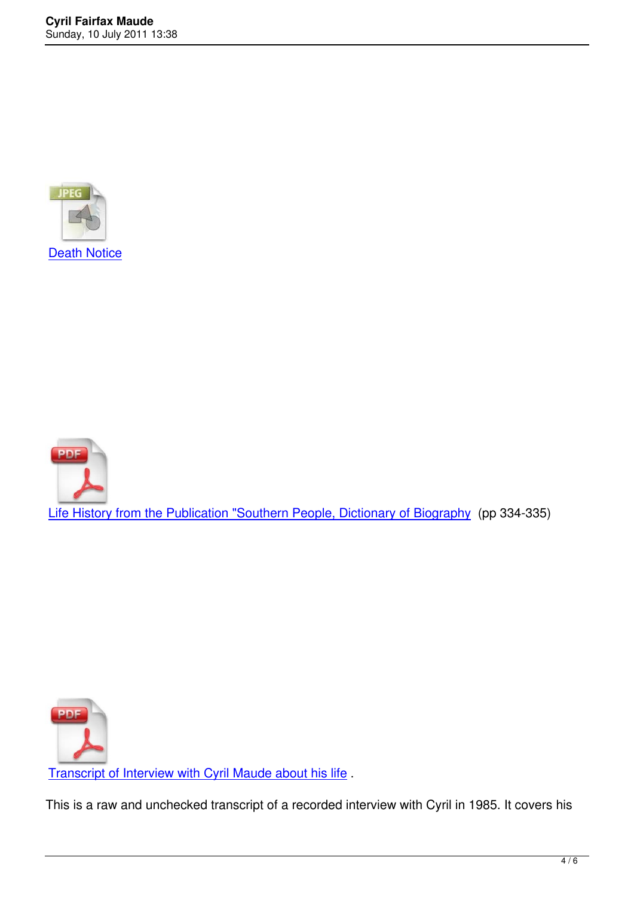



Transcript of Interview with Cyril Maude about his life .

This is a raw and unchecked transcript of a recorded interview with Cyril in 1985. It covers his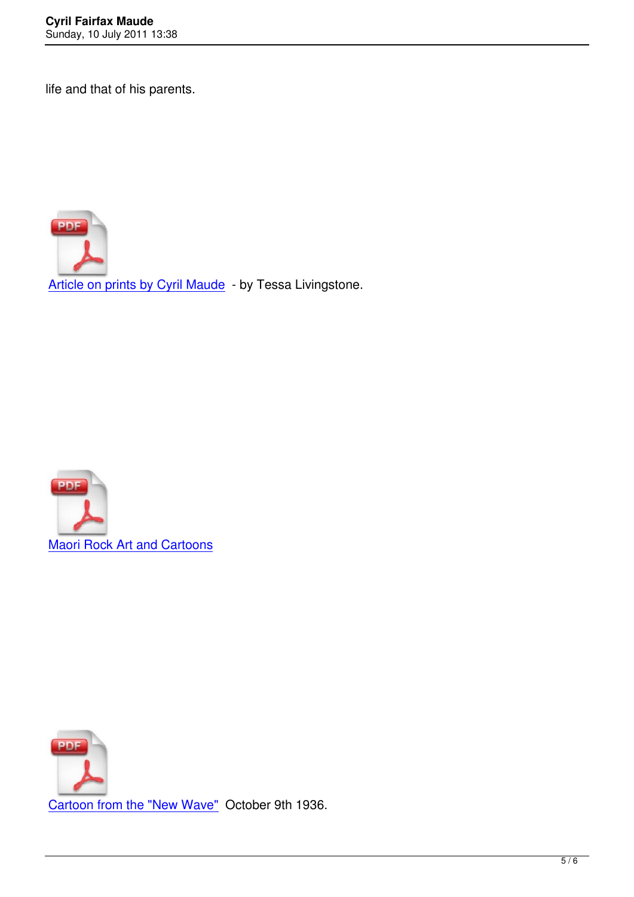life and that of his parents.



Article on prints by Cyril Maude - by Tessa Livingstone.